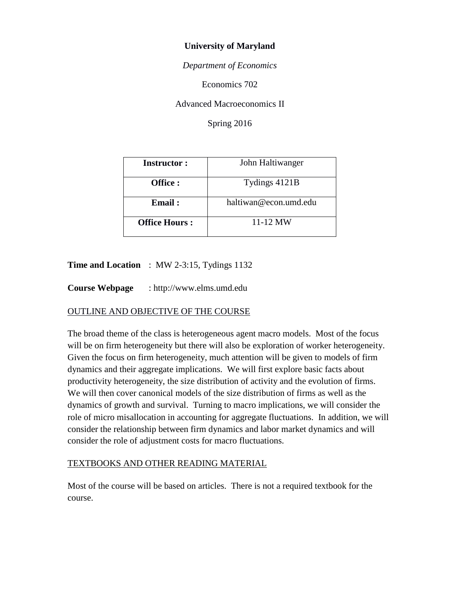### **University of Maryland**

*Department of Economics*

Economics 702

Advanced Macroeconomics II

Spring 2016

| <b>Instructor:</b>   | John Haltiwanger      |
|----------------------|-----------------------|
| Office :             | Tydings 4121B         |
| Email:               | haltiwan@econ.umd.edu |
| <b>Office Hours:</b> | $11 - 12$ MW          |

### **Time and Location** : MW 2-3:15, Tydings 1132

**Course Webpage** : http://www.elms.umd.edu

# OUTLINE AND OBJECTIVE OF THE COURSE

The broad theme of the class is heterogeneous agent macro models. Most of the focus will be on firm heterogeneity but there will also be exploration of worker heterogeneity. Given the focus on firm heterogeneity, much attention will be given to models of firm dynamics and their aggregate implications. We will first explore basic facts about productivity heterogeneity, the size distribution of activity and the evolution of firms. We will then cover canonical models of the size distribution of firms as well as the dynamics of growth and survival. Turning to macro implications, we will consider the role of micro misallocation in accounting for aggregate fluctuations. In addition, we will consider the relationship between firm dynamics and labor market dynamics and will consider the role of adjustment costs for macro fluctuations.

### TEXTBOOKS AND OTHER READING MATERIAL

Most of the course will be based on articles. There is not a required textbook for the course.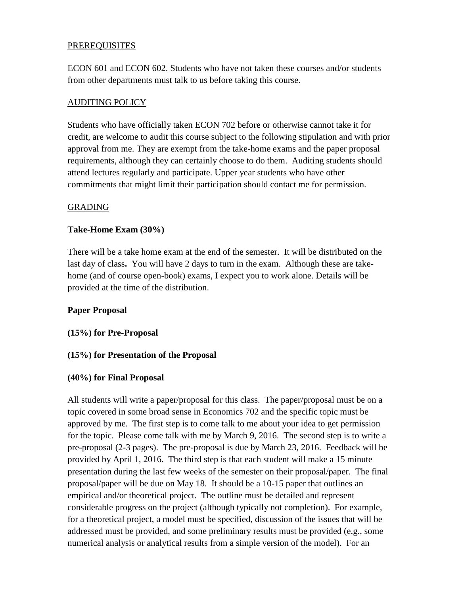### **PREREQUISITES**

ECON 601 and ECON 602. Students who have not taken these courses and/or students from other departments must talk to us before taking this course.

# AUDITING POLICY

Students who have officially taken ECON 702 before or otherwise cannot take it for credit, are welcome to audit this course subject to the following stipulation and with prior approval from me. They are exempt from the take-home exams and the paper proposal requirements, although they can certainly choose to do them. Auditing students should attend lectures regularly and participate. Upper year students who have other commitments that might limit their participation should contact me for permission.

### GRADING

### **Take-Home Exam (30%)**

There will be a take home exam at the end of the semester. It will be distributed on the last day of class**.** You will have 2 days to turn in the exam. Although these are takehome (and of course open-book) exams, I expect you to work alone. Details will be provided at the time of the distribution.

### **Paper Proposal**

**(15%) for Pre-Proposal**

### **(15%) for Presentation of the Proposal**

### **(40%) for Final Proposal**

All students will write a paper/proposal for this class. The paper/proposal must be on a topic covered in some broad sense in Economics 702 and the specific topic must be approved by me. The first step is to come talk to me about your idea to get permission for the topic. Please come talk with me by March 9, 2016. The second step is to write a pre-proposal (2-3 pages). The pre-proposal is due by March 23, 2016. Feedback will be provided by April 1, 2016. The third step is that each student will make a 15 minute presentation during the last few weeks of the semester on their proposal/paper. The final proposal/paper will be due on May 18. It should be a 10-15 paper that outlines an empirical and/or theoretical project. The outline must be detailed and represent considerable progress on the project (although typically not completion). For example, for a theoretical project, a model must be specified, discussion of the issues that will be addressed must be provided, and some preliminary results must be provided (e.g., some numerical analysis or analytical results from a simple version of the model). For an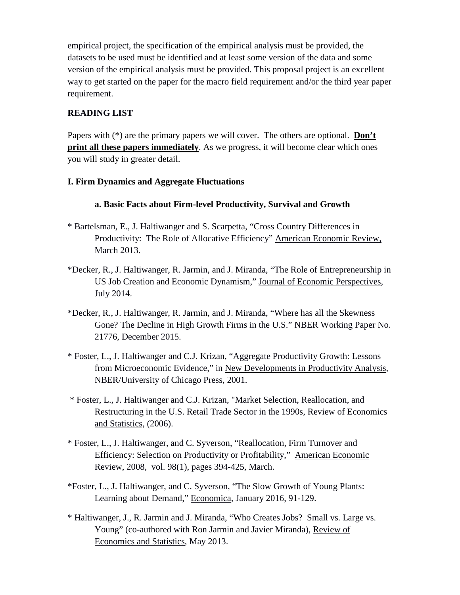empirical project, the specification of the empirical analysis must be provided, the datasets to be used must be identified and at least some version of the data and some version of the empirical analysis must be provided. This proposal project is an excellent way to get started on the paper for the macro field requirement and/or the third year paper requirement.

## **READING LIST**

Papers with (\*) are the primary papers we will cover. The others are optional. **Don't print all these papers immediately**. As we progress, it will become clear which ones you will study in greater detail.

### **I. Firm Dynamics and Aggregate Fluctuations**

## **a. Basic Facts about Firm-level Productivity, Survival and Growth**

- \* Bartelsman, E., J. Haltiwanger and S. Scarpetta, "Cross Country Differences in Productivity: The Role of Allocative Efficiency" American Economic Review, March 2013.
- \*Decker, R., J. Haltiwanger, R. Jarmin, and J. Miranda, "The Role of Entrepreneurship in US Job Creation and Economic Dynamism," Journal of Economic Perspectives, July 2014.
- \*Decker, R., J. Haltiwanger, R. Jarmin, and J. Miranda, "Where has all the Skewness Gone? The Decline in High Growth Firms in the U.S." NBER Working Paper No. 21776, December 2015.
- \* Foster, L., J. Haltiwanger and C.J. Krizan, "Aggregate Productivity Growth: Lessons from Microeconomic Evidence," in New Developments in Productivity Analysis, NBER/University of Chicago Press, 2001.
- \* Foster, L., J. Haltiwanger and C.J. Krizan, "Market Selection, Reallocation, and Restructuring in the U.S. Retail Trade Sector in the 1990s, Review of Economics and Statistics, (2006).
- \* Foster, L., J. Haltiwanger, and C. Syverson, "Reallocation, Firm Turnover and Efficiency: Selection on Productivity or Profitability," American Economic Review, 2008, vol. 98(1), pages 394-425, March.
- \*Foster, L., J. Haltiwanger, and C. Syverson, "The Slow Growth of Young Plants: Learning about Demand," Economica, January 2016, 91-129.
- \* Haltiwanger, J., R. Jarmin and J. Miranda, "Who Creates Jobs? Small vs. Large vs. Young" (co-authored with Ron Jarmin and Javier Miranda), Review of Economics and Statistics, May 2013.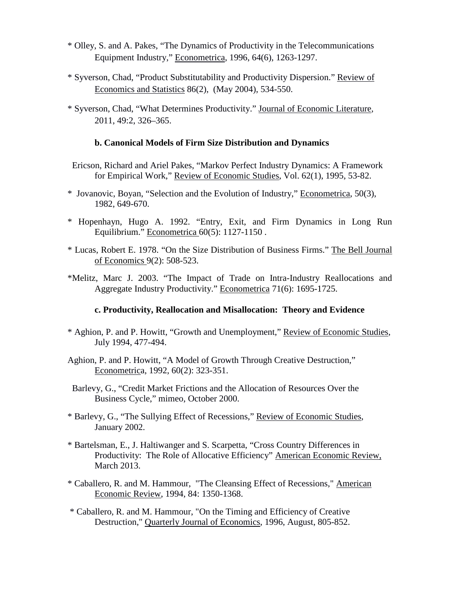- \* Olley, S. and A. Pakes, "The Dynamics of Productivity in the Telecommunications Equipment Industry," Econometrica, 1996, 64(6), 1263-1297.
- \* Syverson, Chad, "Product Substitutability and Productivity Dispersion." Review of Economics and Statistics 86(2), (May 2004), 534-550.
- \* Syverson, Chad, "What Determines Productivity." Journal of Economic Literature*,* 2011, 49:2, 326–365.

#### **b. Canonical Models of Firm Size Distribution and Dynamics**

- Ericson, Richard and Ariel Pakes, "Markov Perfect Industry Dynamics: A Framework for Empirical Work," Review of Economic Studies, Vol. 62(1), 1995, 53-82.
- \* Jovanovic, Boyan, "Selection and the Evolution of Industry," Econometrica, 50(3), 1982, 649-670.
- \* Hopenhayn, Hugo A. 1992. "Entry, Exit, and Firm Dynamics in Long Run Equilibrium." Econometrica 60(5): 1127-1150 .
- \* Lucas, Robert E. 1978. "On the Size Distribution of Business Firms." The Bell Journal of Economics 9(2): 508-523.
- \*Melitz, Marc J. 2003. "The Impact of Trade on Intra-Industry Reallocations and Aggregate Industry Productivity." Econometrica 71(6): 1695-1725.

#### **c. Productivity, Reallocation and Misallocation: Theory and Evidence**

- \* Aghion, P. and P. Howitt, "Growth and Unemployment," Review of Economic Studies, July 1994, 477-494.
- Aghion, P. and P. Howitt, "A Model of Growth Through Creative Destruction," Econometrica, 1992, 60(2): 323-351.
- Barlevy, G., "Credit Market Frictions and the Allocation of Resources Over the Business Cycle," mimeo, October 2000.
- \* Barlevy, G., "The Sullying Effect of Recessions," Review of Economic Studies, January 2002.
- \* Bartelsman, E., J. Haltiwanger and S. Scarpetta, "Cross Country Differences in Productivity: The Role of Allocative Efficiency" American Economic Review, March 2013.
- \* Caballero, R. and M. Hammour, "The Cleansing Effect of Recessions," American Economic Review, 1994, 84: 1350-1368.
- \* Caballero, R. and M. Hammour, "On the Timing and Efficiency of Creative Destruction," Quarterly Journal of Economics, 1996, August, 805-852.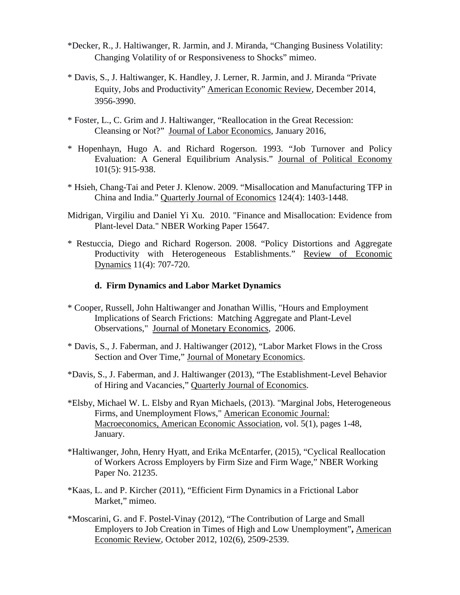- \*Decker, R., J. Haltiwanger, R. Jarmin, and J. Miranda, "Changing Business Volatility: Changing Volatility of or Responsiveness to Shocks" mimeo.
- \* Davis, S., J. Haltiwanger, K. Handley, J. Lerner, R. Jarmin, and J. Miranda "Private Equity, Jobs and Productivity" American Economic Review, December 2014, 3956-3990.
- \* Foster, L., C. Grim and J. Haltiwanger, "Reallocation in the Great Recession: Cleansing or Not?" Journal of Labor Economics, January 2016,
- \* Hopenhayn, Hugo A. and Richard Rogerson. 1993. "Job Turnover and Policy Evaluation: A General Equilibrium Analysis." Journal of Political Economy 101(5): 915-938.
- \* Hsieh, Chang-Tai and Peter J. Klenow. 2009. "Misallocation and Manufacturing TFP in China and India." Quarterly Journal of Economics 124(4): 1403-1448.
- Midrigan, Virgiliu and Daniel Yi Xu. 2010. "Finance and Misallocation: Evidence from Plant-level Data." NBER Working Paper 15647.
- \* Restuccia, Diego and Richard Rogerson. 2008. "Policy Distortions and Aggregate Productivity with Heterogeneous Establishments." Review of Economic Dynamics 11(4): 707-720.

#### **d. Firm Dynamics and Labor Market Dynamics**

- \* Cooper, Russell, John Haltiwanger and Jonathan Willis, "Hours and Employment Implications of Search Frictions: Matching Aggregate and Plant-Level Observations," Journal of Monetary Economics, 2006.
- \* Davis, S., J. Faberman, and J. Haltiwanger (2012), "Labor Market Flows in the Cross Section and Over Time," Journal of Monetary Economics.
- \*Davis, S., J. Faberman, and J. Haltiwanger (2013), "The Establishment-Level Behavior of Hiring and Vacancies," Quarterly Journal of Economics.
- \*Elsby, Michael W. L. Elsby and Ryan Michaels, (2013). "Marginal Jobs, Heterogeneous Firms, and Unemployment Flows," American Economic Journal: Macroeconomics, American Economic Association, vol. 5(1), pages 1-48, January.
- \*Haltiwanger, John, Henry Hyatt, and Erika McEntarfer, (2015), "Cyclical Reallocation of Workers Across Employers by Firm Size and Firm Wage," NBER Working Paper No. 21235.
- \*Kaas, L. and P. Kircher (2011), "Efficient Firm Dynamics in a Frictional Labor Market," mimeo.
- \*Moscarini, G. and F. Postel-Vinay (2012), "The Contribution of Large and Small Employers to Job Creation in Times of High and Low Unemployment"**,** American Economic Review*,* October 2012, 102(6), 2509-2539.